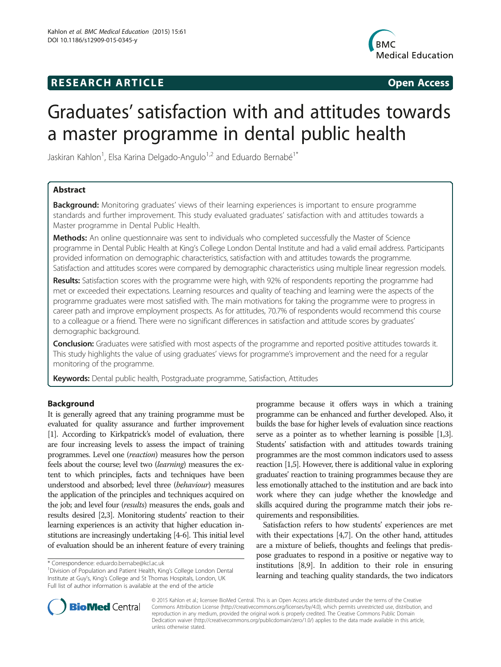## **RESEARCH ARTICLE Example 2018 Open Access**



# Graduates' satisfaction with and attitudes towards a master programme in dental public health

Jaskiran Kahlon<sup>1</sup>, Elsa Karina Delgado-Angulo<sup>1,2</sup> and Eduardo Bernabé<sup>1\*</sup>

## Abstract

**Background:** Monitoring graduates' views of their learning experiences is important to ensure programme standards and further improvement. This study evaluated graduates' satisfaction with and attitudes towards a Master programme in Dental Public Health.

Methods: An online questionnaire was sent to individuals who completed successfully the Master of Science programme in Dental Public Health at King's College London Dental Institute and had a valid email address. Participants provided information on demographic characteristics, satisfaction with and attitudes towards the programme. Satisfaction and attitudes scores were compared by demographic characteristics using multiple linear regression models.

Results: Satisfaction scores with the programme were high, with 92% of respondents reporting the programme had met or exceeded their expectations. Learning resources and quality of teaching and learning were the aspects of the programme graduates were most satisfied with. The main motivations for taking the programme were to progress in career path and improve employment prospects. As for attitudes, 70.7% of respondents would recommend this course to a colleague or a friend. There were no significant differences in satisfaction and attitude scores by graduates' demographic background.

**Conclusion:** Graduates were satisfied with most aspects of the programme and reported positive attitudes towards it. This study highlights the value of using graduates' views for programme's improvement and the need for a regular monitoring of the programme.

Keywords: Dental public health, Postgraduate programme, Satisfaction, Attitudes

## Background

It is generally agreed that any training programme must be evaluated for quality assurance and further improvement [[1](#page-5-0)]. According to Kirkpatrick's model of evaluation, there are four increasing levels to assess the impact of training programmes. Level one (reaction) measures how the person feels about the course; level two (learning) measures the extent to which principles, facts and techniques have been understood and absorbed; level three (behaviour) measures the application of the principles and techniques acquired on the job; and level four (results) measures the ends, goals and results desired [\[2,3\]](#page-5-0). Monitoring students' reaction to their learning experiences is an activity that higher education institutions are increasingly undertaking [\[4-6\]](#page-5-0). This initial level of evaluation should be an inherent feature of every training

programme because it offers ways in which a training programme can be enhanced and further developed. Also, it builds the base for higher levels of evaluation since reactions serve as a pointer as to whether learning is possible [\[1,3](#page-5-0)]. Students' satisfaction with and attitudes towards training programmes are the most common indicators used to assess reaction [\[1,5\]](#page-5-0). However, there is additional value in exploring graduates' reaction to training programmes because they are less emotionally attached to the institution and are back into work where they can judge whether the knowledge and skills acquired during the programme match their jobs requirements and responsibilities.

Satisfaction refers to how students' experiences are met with their expectations [[4,7](#page-5-0)]. On the other hand, attitudes are a mixture of beliefs, thoughts and feelings that predispose graduates to respond in a positive or negative way to institutions [[8,9](#page-5-0)]. In addition to their role in ensuring learning and teaching quality standards, the two indicators



© 2015 Kahlon et al.; licensee BioMed Central. This is an Open Access article distributed under the terms of the Creative Commons Attribution License [\(http://creativecommons.org/licenses/by/4.0\)](http://creativecommons.org/licenses/by/4.0), which permits unrestricted use, distribution, and reproduction in any medium, provided the original work is properly credited. The Creative Commons Public Domain Dedication waiver [\(http://creativecommons.org/publicdomain/zero/1.0/](http://creativecommons.org/publicdomain/zero/1.0/)) applies to the data made available in this article, unless otherwise stated.

<sup>\*</sup> Correspondence: [eduardo.bernabe@kcl.ac.uk](mailto:eduardo.bernabe@kcl.ac.uk) <sup>1</sup>

<sup>&</sup>lt;sup>1</sup> Division of Population and Patient Health, King's College London Dental Institute at Guy's, King's College and St Thomas Hospitals, London, UK Full list of author information is available at the end of the article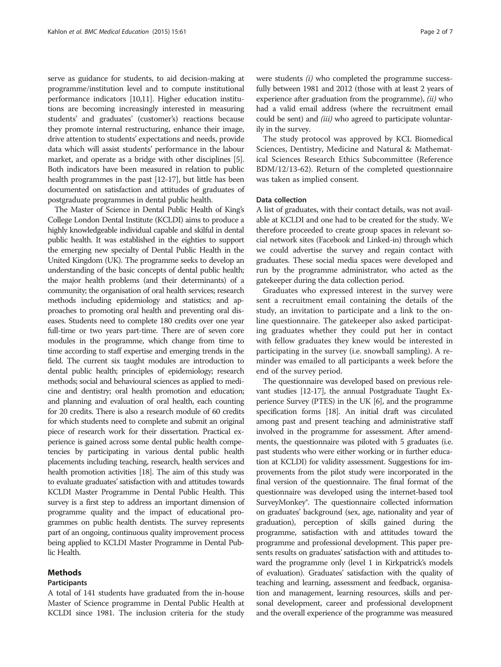serve as guidance for students, to aid decision-making at programme/institution level and to compute institutional performance indicators [\[10,11](#page-5-0)]. Higher education institutions are becoming increasingly interested in measuring students' and graduates' (customer's) reactions because they promote internal restructuring, enhance their image, drive attention to students' expectations and needs, provide data which will assist students' performance in the labour market, and operate as a bridge with other disciplines [[5](#page-5-0)]. Both indicators have been measured in relation to public health programmes in the past [\[12](#page-5-0)-[17](#page-6-0)], but little has been documented on satisfaction and attitudes of graduates of postgraduate programmes in dental public health.

The Master of Science in Dental Public Health of King's College London Dental Institute (KCLDI) aims to produce a highly knowledgeable individual capable and skilful in dental public health. It was established in the eighties to support the emerging new specialty of Dental Public Health in the United Kingdom (UK). The programme seeks to develop an understanding of the basic concepts of dental public health; the major health problems (and their determinants) of a community; the organisation of oral health services; research methods including epidemiology and statistics; and approaches to promoting oral health and preventing oral diseases. Students need to complete 180 credits over one year full-time or two years part-time. There are of seven core modules in the programme, which change from time to time according to staff expertise and emerging trends in the field. The current six taught modules are introduction to dental public health; principles of epidemiology; research methods; social and behavioural sciences as applied to medicine and dentistry; oral health promotion and education; and planning and evaluation of oral health, each counting for 20 credits. There is also a research module of 60 credits for which students need to complete and submit an original piece of research work for their dissertation. Practical experience is gained across some dental public health competencies by participating in various dental public health placements including teaching, research, health services and health promotion activities [\[18\]](#page-6-0). The aim of this study was to evaluate graduates' satisfaction with and attitudes towards KCLDI Master Programme in Dental Public Health. This survey is a first step to address an important dimension of programme quality and the impact of educational programmes on public health dentists. The survey represents part of an ongoing, continuous quality improvement process being applied to KCLDI Master Programme in Dental Public Health.

## Methods

#### Participants

A total of 141 students have graduated from the in-house Master of Science programme in Dental Public Health at KCLDI since 1981. The inclusion criteria for the study were students (i) who completed the programme successfully between 1981 and 2012 (those with at least 2 years of experience after graduation from the programme), (ii) who had a valid email address (where the recruitment email could be sent) and *(iii)* who agreed to participate voluntarily in the survey.

The study protocol was approved by KCL Biomedical Sciences, Dentistry, Medicine and Natural & Mathematical Sciences Research Ethics Subcommittee (Reference BDM/12/13-62). Return of the completed questionnaire was taken as implied consent.

#### Data collection

A list of graduates, with their contact details, was not available at KCLDI and one had to be created for the study. We therefore proceeded to create group spaces in relevant social network sites (Facebook and Linked-in) through which we could advertise the survey and regain contact with graduates. These social media spaces were developed and run by the programme administrator, who acted as the gatekeeper during the data collection period.

Graduates who expressed interest in the survey were sent a recruitment email containing the details of the study, an invitation to participate and a link to the online questionnaire. The gatekeeper also asked participating graduates whether they could put her in contact with fellow graduates they knew would be interested in participating in the survey (i.e. snowball sampling). A reminder was emailed to all participants a week before the end of the survey period.

The questionnaire was developed based on previous relevant studies [\[12-](#page-5-0)[17](#page-6-0)], the annual Postgraduate Taught Experience Survey (PTES) in the UK [\[6\]](#page-5-0), and the programme specification forms [\[18\]](#page-6-0). An initial draft was circulated among past and present teaching and administrative staff involved in the programme for assessment. After amendments, the questionnaire was piloted with 5 graduates (i.e. past students who were either working or in further education at KCLDI) for validity assessment. Suggestions for improvements from the pilot study were incorporated in the final version of the questionnaire. The final format of the questionnaire was developed using the internet-based tool SurveyMonkey®. The questionnaire collected information on graduates' background (sex, age, nationality and year of graduation), perception of skills gained during the programme, satisfaction with and attitudes toward the programme and professional development. This paper presents results on graduates'satisfaction with and attitudes toward the programme only (level 1 in Kirkpatrick's models of evaluation). Graduates' satisfaction with the quality of teaching and learning, assessment and feedback, organisation and management, learning resources, skills and personal development, career and professional development and the overall experience of the programme was measured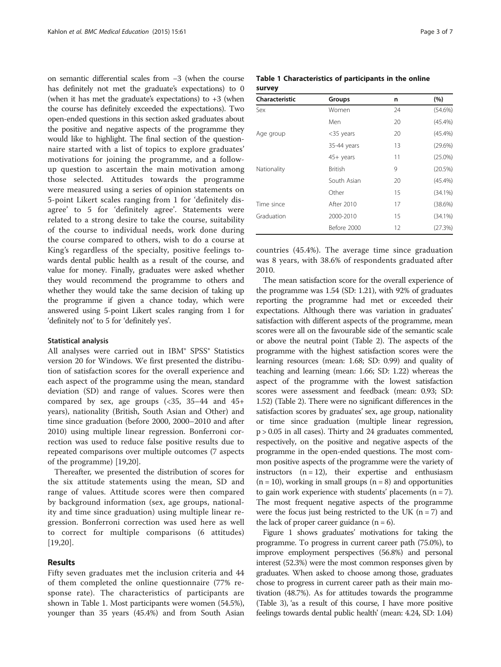on semantic differential scales from −3 (when the course has definitely not met the graduate's expectations) to 0 (when it has met the graduate's expectations) to +3 (when the course has definitely exceeded the expectations). Two open-ended questions in this section asked graduates about the positive and negative aspects of the programme they would like to highlight. The final section of the questionnaire started with a list of topics to explore graduates' motivations for joining the programme, and a followup question to ascertain the main motivation among those selected. Attitudes towards the programme were measured using a series of opinion statements on 5-point Likert scales ranging from 1 for 'definitely disagree' to 5 for 'definitely agree'. Statements were related to a strong desire to take the course, suitability of the course to individual needs, work done during the course compared to others, wish to do a course at King's regardless of the specialty, positive feelings towards dental public health as a result of the course, and value for money. Finally, graduates were asked whether they would recommend the programme to others and whether they would take the same decision of taking up the programme if given a chance today, which were answered using 5-point Likert scales ranging from 1 for 'definitely not' to 5 for 'definitely yes'.

#### Statistical analysis

All analyses were carried out in IBM® SPSS® Statistics version 20 for Windows. We first presented the distribution of satisfaction scores for the overall experience and each aspect of the programme using the mean, standard deviation (SD) and range of values. Scores were then compared by sex, age groups (<35, 35–44 and 45+ years), nationality (British, South Asian and Other) and time since graduation (before 2000, 2000–2010 and after 2010) using multiple linear regression. Bonferroni correction was used to reduce false positive results due to repeated comparisons over multiple outcomes (7 aspects of the programme) [\[19,20](#page-6-0)].

Thereafter, we presented the distribution of scores for the six attitude statements using the mean, SD and range of values. Attitude scores were then compared by background information (sex, age groups, nationality and time since graduation) using multiple linear regression. Bonferroni correction was used here as well to correct for multiple comparisons (6 attitudes) [[19,20](#page-6-0)].

## Results

Fifty seven graduates met the inclusion criteria and 44 of them completed the online questionnaire (77% response rate). The characteristics of participants are shown in Table 1. Most participants were women (54.5%), younger than 35 years (45.4%) and from South Asian

|        | Table 1 Characteristics of participants in the online |  |  |  |
|--------|-------------------------------------------------------|--|--|--|
| survey |                                                       |  |  |  |

| Characteristic | Groups         | n  | (%)        |
|----------------|----------------|----|------------|
| Sex            | Women          | 24 | $(54.6\%)$ |
|                | Men            | 20 | (45.4%)    |
| Age group      | $<$ 35 years   | 20 | (45.4%)    |
|                | 35-44 years    | 13 | (29.6%)    |
|                | $45+$ years    | 11 | $(25.0\%)$ |
| Nationality    | <b>British</b> | 9  | (20.5%)    |
|                | South Asian    | 20 | (45.4%)    |
|                | Other          | 15 | $(34.1\%)$ |
| Time since     | After 2010     | 17 | (38.6%)    |
| Graduation     | 2000-2010      | 15 | $(34.1\%)$ |
|                | Before 2000    | 12 | (27.3%)    |
|                |                |    |            |

countries (45.4%). The average time since graduation was 8 years, with 38.6% of respondents graduated after 2010.

The mean satisfaction score for the overall experience of the programme was 1.54 (SD: 1.21), with 92% of graduates reporting the programme had met or exceeded their expectations. Although there was variation in graduates' satisfaction with different aspects of the programme, mean scores were all on the favourable side of the semantic scale or above the neutral point (Table [2](#page-3-0)). The aspects of the programme with the highest satisfaction scores were the learning resources (mean: 1.68; SD: 0.99) and quality of teaching and learning (mean: 1.66; SD: 1.22) whereas the aspect of the programme with the lowest satisfaction scores were assessment and feedback (mean: 0.93; SD: 1.52) (Table [2\)](#page-3-0). There were no significant differences in the satisfaction scores by graduates' sex, age group, nationality or time since graduation (multiple linear regression, p > 0.05 in all cases). Thirty and 24 graduates commented, respectively, on the positive and negative aspects of the programme in the open-ended questions. The most common positive aspects of the programme were the variety of instructors  $(n = 12)$ , their expertise and enthusiasm  $(n = 10)$ , working in small groups  $(n = 8)$  and opportunities to gain work experience with students' placements  $(n = 7)$ . The most frequent negative aspects of the programme were the focus just being restricted to the UK  $(n = 7)$  and the lack of proper career guidance  $(n = 6)$ .

Figure [1](#page-3-0) shows graduates' motivations for taking the programme. To progress in current career path (75.0%), to improve employment perspectives (56.8%) and personal interest (52.3%) were the most common responses given by graduates. When asked to choose among those, graduates chose to progress in current career path as their main motivation (48.7%). As for attitudes towards the programme (Table [3\)](#page-4-0), 'as a result of this course, I have more positive feelings towards dental public health' (mean: 4.24, SD: 1.04)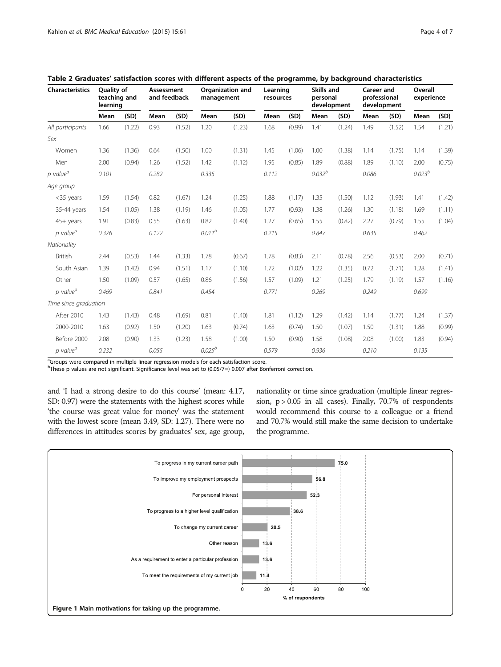| <b>Characteristics</b>              | Quality of<br>teaching and<br>learning |        | Assessment<br>and feedback |        | management  | Organization and | Learning<br>resources |        | Skills and<br>personal<br>development |        | Career and<br>professional<br>development |        | Overall<br>experience |        |
|-------------------------------------|----------------------------------------|--------|----------------------------|--------|-------------|------------------|-----------------------|--------|---------------------------------------|--------|-------------------------------------------|--------|-----------------------|--------|
|                                     | Mean                                   | (SD)   | Mean                       | (SD)   | Mean        | (SD)             | Mean                  | (SD)   | Mean                                  | (SD)   | Mean                                      | (SD)   | Mean                  | (SD)   |
| All participants                    | 1.66                                   | (1.22) | 0.93                       | (1.52) | 1.20        | (1.23)           | 1.68                  | (0.99) | 1.41                                  | (1.24) | 1.49                                      | (1.52) | 1.54                  | (1.21) |
| Sex                                 |                                        |        |                            |        |             |                  |                       |        |                                       |        |                                           |        |                       |        |
| Women                               | 1.36                                   | (1.36) | 0.64                       | (1.50) | 1.00        | (1.31)           | 1.45                  | (1.06) | 1.00                                  | (1.38) | 1.14                                      | (1.75) | 1.14                  | (1.39) |
| Men                                 | 2.00                                   | (0.94) | 1.26                       | (1.52) | 1.42        | (1.12)           | 1.95                  | (0.85) | 1.89                                  | (0.88) | 1.89                                      | (1.10) | 2.00                  | (0.75) |
| $p$ value <sup><math>a</math></sup> | 0.101                                  |        | 0.282                      |        | 0.335       |                  | 0.112                 |        | $0.032^{b}$                           |        | 0.086                                     |        | 0.023 <sup>b</sup>    |        |
| Age group                           |                                        |        |                            |        |             |                  |                       |        |                                       |        |                                           |        |                       |        |
| <35 years                           | 1.59                                   | (1.54) | 0.82                       | (1.67) | 1.24        | (1.25)           | 1.88                  | (1.17) | 1.35                                  | (1.50) | 1.12                                      | (1.93) | 1.41                  | (1.42) |
| 35-44 years                         | 1.54                                   | (1.05) | 1.38                       | (1.19) | 1.46        | (1.05)           | 1.77                  | (0.93) | 1.38                                  | (1.26) | 1.30                                      | (1.18) | 1.69                  | (1.11) |
| 45+ years                           | 1.91                                   | (0.83) | 0.55                       | (1.63) | 0.82        | (1.40)           | 1.27                  | (0.65) | 1.55                                  | (0.82) | 2.27                                      | (0.79) | 1.55                  | (1.04) |
| $p$ value <sup><math>a</math></sup> | 0.376                                  |        | 0.122                      |        | $0.011^{b}$ |                  | 0.215                 |        | 0.847                                 |        | 0.635                                     |        | 0.462                 |        |
| Nationality                         |                                        |        |                            |        |             |                  |                       |        |                                       |        |                                           |        |                       |        |
| British                             | 2.44                                   | (0.53) | 1.44                       | (1.33) | 1.78        | (0.67)           | 1.78                  | (0.83) | 2.11                                  | (0.78) | 2.56                                      | (0.53) | 2.00                  | (0.71) |
| South Asian                         | 1.39                                   | (1.42) | 0.94                       | (1.51) | 1.17        | (1.10)           | 1.72                  | (1.02) | 1.22                                  | (1.35) | 0.72                                      | (1.71) | 1.28                  | (1.41) |
| Other                               | 1.50                                   | (1.09) | 0.57                       | (1.65) | 0.86        | (1.56)           | 1.57                  | (1.09) | 1.21                                  | (1.25) | 1.79                                      | (1.19) | 1.57                  | (1.16) |
| $p$ value <sup><math>a</math></sup> | 0.469                                  |        | 0.841                      |        | 0.454       |                  | 0.771                 |        | 0.269                                 |        | 0.249                                     |        | 0.699                 |        |
| Time since graduation               |                                        |        |                            |        |             |                  |                       |        |                                       |        |                                           |        |                       |        |
| After 2010                          | 1.43                                   | (1.43) | 0.48                       | (1.69) | 0.81        | (1.40)           | 1.81                  | (1.12) | 1.29                                  | (1.42) | 1.14                                      | (1.77) | 1.24                  | (1.37) |
| 2000-2010                           | 1.63                                   | (0.92) | 1.50                       | (1.20) | 1.63        | (0.74)           | 1.63                  | (0.74) | 1.50                                  | (1.07) | 1.50                                      | (1.31) | 1.88                  | (0.99) |
| Before 2000                         | 2.08                                   | (0.90) | 1.33                       | (1.23) | 1.58        | (1.00)           | 1.50                  | (0.90) | 1.58                                  | (1.08) | 2.08                                      | (1.00) | 1.83                  | (0.94) |
| $p$ value <sup><math>a</math></sup> | 0.232                                  |        | 0.055                      |        | $0.025^{b}$ |                  | 0.579                 |        | 0.936                                 |        | 0.210                                     |        | 0.135                 |        |

<span id="page-3-0"></span>

|  | Table 2 Graduates' satisfaction scores with different aspects of the programme, by background characteristics |  |  |  |  |  |  |
|--|---------------------------------------------------------------------------------------------------------------|--|--|--|--|--|--|
|--|---------------------------------------------------------------------------------------------------------------|--|--|--|--|--|--|

<sup>a</sup>Groups were compared in multiple linear regression models for each satisfaction score.

b These p values are not significant. Significance level was set to (0.05/7=) 0.007 after Bonferroni correction.

and 'I had a strong desire to do this course' (mean: 4.17, SD: 0.97) were the statements with the highest scores while 'the course was great value for money' was the statement with the lowest score (mean 3.49, SD: 1.27). There were no differences in attitudes scores by graduates' sex, age group, nationality or time since graduation (multiple linear regression,  $p > 0.05$  in all cases). Finally, 70.7% of respondents would recommend this course to a colleague or a friend and 70.7% would still make the same decision to undertake the programme.

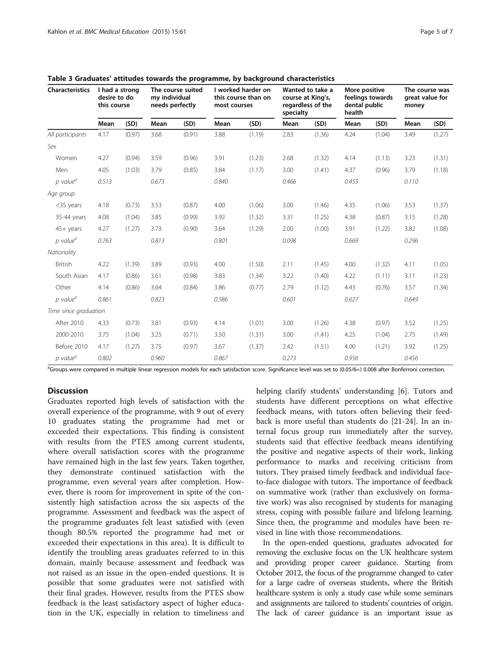| <b>Characteristics</b><br>I had a strong<br>desire to do<br>this course |       | The course suited<br>my individual<br>needs perfectly |       | I worked harder on<br>this course than on<br>most courses |       | Wanted to take a<br>course at King's,<br>regardless of the<br>specialty |       | More positive<br>feelings towards<br>dental public<br>health |       | The course was<br>great value for<br>money |       |        |
|-------------------------------------------------------------------------|-------|-------------------------------------------------------|-------|-----------------------------------------------------------|-------|-------------------------------------------------------------------------|-------|--------------------------------------------------------------|-------|--------------------------------------------|-------|--------|
|                                                                         | Mean  | (SD)                                                  | Mean  | (SD)                                                      | Mean  | (SD)                                                                    | Mean  | (SD)                                                         | Mean  | (SD)                                       | Mean  | (SD)   |
| All participants                                                        | 4.17  | (0.97)                                                | 3.68  | (0.91)                                                    | 3.88  | (1.19)                                                                  | 2.83  | (1.36)                                                       | 4.24  | (1.04)                                     | 3.49  | (1.27) |
| Sex                                                                     |       |                                                       |       |                                                           |       |                                                                         |       |                                                              |       |                                            |       |        |
| Women                                                                   | 4.27  | (0.94)                                                | 3.59  | (0.96)                                                    | 3.91  | (1.23)                                                                  | 2.68  | (1.32)                                                       | 4.14  | (1.13)                                     | 3.23  | (1.31) |
| Men                                                                     | 4.05  | (1.03)                                                | 3.79  | (0.85)                                                    | 3.84  | (1.17)                                                                  | 3.00  | (1.41)                                                       | 4.37  | (0.96)                                     | 3.79  | (1.18) |
| $p$ value <sup><math>a</math></sup>                                     | 0.513 |                                                       | 0.673 |                                                           | 0.840 |                                                                         | 0.466 |                                                              | 0.453 |                                            | 0.110 |        |
| Age group                                                               |       |                                                       |       |                                                           |       |                                                                         |       |                                                              |       |                                            |       |        |
| <35 years                                                               | 4.18  | (0.73)                                                | 3.53  | (0.87)                                                    | 4.00  | (1.06)                                                                  | 3.00  | (1.46)                                                       | 4.35  | (1.06)                                     | 3.53  | (1.37) |
| 35-44 years                                                             | 4.08  | (1.04)                                                | 3.85  | (0.99)                                                    | 3.92  | (1.32)                                                                  | 3.31  | (1.25)                                                       | 4.38  | (0.87)                                     | 3.15  | (1.28) |
| $45+$ years                                                             | 4.27  | (1.27)                                                | 3.73  | (0.90)                                                    | 3.64  | (1.29)                                                                  | 2.00  | (1.00)                                                       | 3.91  | (1.22)                                     | 3.82  | (1.08) |
| $p$ value <sup><math>a</math></sup>                                     | 0.763 |                                                       | 0.813 |                                                           | 0.801 |                                                                         | 0.098 |                                                              | 0.669 |                                            | 0.296 |        |
| Nationality                                                             |       |                                                       |       |                                                           |       |                                                                         |       |                                                              |       |                                            |       |        |
| <b>British</b>                                                          | 4.22  | (1.39)                                                | 3.89  | (0.93)                                                    | 4.00  | (1.50)                                                                  | 2.11  | (1.45)                                                       | 4.00  | (1.32)                                     | 4.11  | (1.05) |
| South Asian                                                             | 4.17  | (0.86)                                                | 3.61  | (0.98)                                                    | 3.83  | (1.34)                                                                  | 3.22  | (1.40)                                                       | 4.22  | (1.11)                                     | 3.11  | (1.23) |
| Other                                                                   | 4.14  | (0.86)                                                | 3.64  | (0.84)                                                    | 3.86  | (0.77)                                                                  | 2.79  | (1.12)                                                       | 4.43  | (0.76)                                     | 3.57  | (1.34) |
| $p$ value <sup><math>a</math></sup>                                     | 0.861 |                                                       | 0.823 |                                                           | 0.586 |                                                                         | 0.601 |                                                              | 0.627 |                                            | 0.649 |        |
| Time since graduation                                                   |       |                                                       |       |                                                           |       |                                                                         |       |                                                              |       |                                            |       |        |
| After 2010                                                              | 4.33  | (0.73)                                                | 3.81  | (0.93)                                                    | 4.14  | (1.01)                                                                  | 3.00  | (1.26)                                                       | 4.38  | (0.97)                                     | 3.52  | (1.25) |
| 2000-2010                                                               | 3.75  | (1.04)                                                | 3.25  | (0.71)                                                    | 3.50  | (1.31)                                                                  | 3.00  | (1.41)                                                       | 4.25  | (1.04)                                     | 2.75  | (1.49) |
| Before 2010                                                             | 4.17  | (1.27)                                                | 3.75  | (0.97)                                                    | 3.67  | (1.37)                                                                  | 2.42  | (1.51)                                                       | 4.00  | (1.21)                                     | 3.92  | (1.25) |
| $p$ value <sup><math>a</math></sup>                                     | 0.802 |                                                       | 0.960 |                                                           | 0.867 |                                                                         | 0.273 |                                                              | 0.956 |                                            | 0.456 |        |

#### <span id="page-4-0"></span>Table 3 Graduates' attitudes towards the programme, by background characteristics

<sup>a</sup>Groups were compared in multiple linear regression models for each satisfaction score. Significance level was set to (0.05/6=) 0.008 after Bonferroni correction.

## **Discussion**

Graduates reported high levels of satisfaction with the overall experience of the programme, with 9 out of every 10 graduates stating the programme had met or exceeded their expectations. This finding is consistent with results from the PTES among current students, where overall satisfaction scores with the programme have remained high in the last few years. Taken together, they demonstrate continued satisfaction with the programme, even several years after completion. However, there is room for improvement in spite of the consistently high satisfaction across the six aspects of the programme. Assessment and feedback was the aspect of the programme graduates felt least satisfied with (even though 80.5% reported the programme had met or exceeded their expectations in this area). It is difficult to identify the troubling areas graduates referred to in this domain, mainly because assessment and feedback was not raised as an issue in the open-ended questions. It is possible that some graduates were not satisfied with their final grades. However, results from the PTES show feedback is the least satisfactory aspect of higher education in the UK, especially in relation to timeliness and

helping clarify students' understanding [\[6](#page-5-0)]. Tutors and students have different perceptions on what effective feedback means, with tutors often believing their feedback is more useful than students do [\[21](#page-6-0)-[24\]](#page-6-0). In an internal focus group run immediately after the survey, students said that effective feedback means identifying the positive and negative aspects of their work, linking performance to marks and receiving criticism from tutors. They praised timely feedback and individual faceto-face dialogue with tutors. The importance of feedback on summative work (rather than exclusively on formative work) was also recognised by students for managing stress, coping with possible failure and lifelong learning. Since then, the programme and modules have been revised in line with those recommendations.

In the open-ended questions, graduates advocated for removing the exclusive focus on the UK healthcare system and providing proper career guidance. Starting from October 2012, the focus of the programme changed to cater for a large cadre of overseas students, where the British healthcare system is only a study case while some seminars and assignments are tailored to students' countries of origin. The lack of career guidance is an important issue as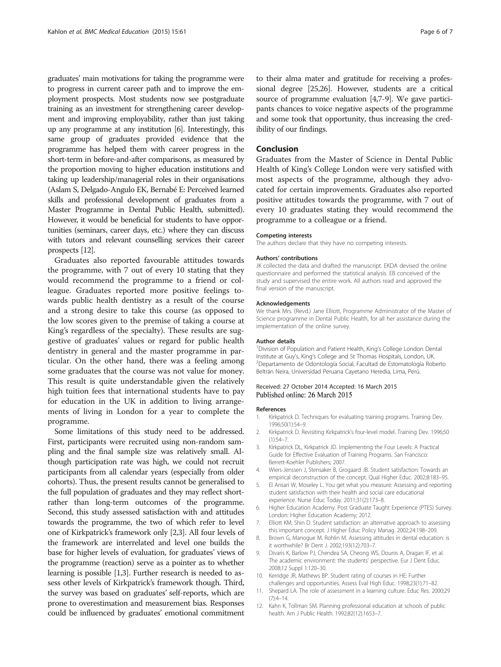<span id="page-5-0"></span>graduates' main motivations for taking the programme were to progress in current career path and to improve the employment prospects. Most students now see postgraduate training as an investment for strengthening career development and improving employability, rather than just taking up any programme at any institution [6]. Interestingly, this same group of graduates provided evidence that the programme has helped them with career progress in the short-term in before-and-after comparisons, as measured by the proportion moving to higher education institutions and taking up leadership/managerial roles in their organisations (Aslam S, Delgado-Angulo EK, Bernabé E: Perceived learned skills and professional development of graduates from a Master Programme in Dental Public Health, submitted). However, it would be beneficial for students to have opportunities (seminars, career days, etc.) where they can discuss with tutors and relevant counselling services their career prospects [12].

Graduates also reported favourable attitudes towards the programme, with 7 out of every 10 stating that they would recommend the programme to a friend or colleague. Graduates reported more positive feelings towards public health dentistry as a result of the course and a strong desire to take this course (as opposed to the low scores given to the premise of taking a course at King's regardless of the specialty). These results are suggestive of graduates' values or regard for public health dentistry in general and the master programme in particular. On the other hand, there was a feeling among some graduates that the course was not value for money. This result is quite understandable given the relatively high tuition fees that international students have to pay for education in the UK in addition to living arrangements of living in London for a year to complete the programme.

Some limitations of this study need to be addressed. First, participants were recruited using non-random sampling and the final sample size was relatively small. Although participation rate was high, we could not recruit participants from all calendar years (especially from older cohorts). Thus, the present results cannot be generalised to the full population of graduates and they may reflect shortrather than long-term outcomes of the programme. Second, this study assessed satisfaction with and attitudes towards the programme, the two of which refer to level one of Kirkpatrick's framework only [2,3]. All four levels of the framework are interrelated and level one builds the base for higher levels of evaluation, for graduates' views of the programme (reaction) serve as a pointer as to whether learning is possible [1,3]. Further research is needed to assess other levels of Kirkpatrick's framework though. Third, the survey was based on graduates' self-reports, which are prone to overestimation and measurement bias. Responses could be influenced by graduates' emotional commitment

to their alma mater and gratitude for receiving a professional degree [[25,26\]](#page-6-0). However, students are a critical source of programme evaluation [4,7-9]. We gave participants chances to voice negative aspects of the programme and some took that opportunity, thus increasing the credibility of our findings.

## Conclusion

Graduates from the Master of Science in Dental Public Health of King's College London were very satisfied with most aspects of the programme, although they advocated for certain improvements. Graduates also reported positive attitudes towards the programme, with 7 out of every 10 graduates stating they would recommend the programme to a colleague or a friend.

#### Competing interests

The authors declare that they have no competing interests.

#### Authors' contributions

JK collected the data and drafted the manuscript. EKDA devised the online questionnaire and performed the statistical analysis. EB conceived of the study and supervised the entire work. All authors read and approved the final version of the manuscript.

#### Acknowledgements

We thank Mrs. (Revd.) Jane Elliott, Programme Administrator of the Master of Science programme in Dental Public Health, for all her assistance during the implementation of the online survey.

#### Author details

<sup>1</sup> Division of Population and Patient Health, King's College London Dental Institute at Guy's, King's College and St Thomas Hospitals, London, UK. <sup>2</sup> <sup>2</sup>Departamento de Odontología Social, Facultad de Estomatología Roberto Beltrán Neira, Universidad Peruana Cayetano Heredia, Lima, Perú.

#### Received: 27 October 2014 Accepted: 16 March 2015 Published online: 26 March 2015

#### References

- 1. Kirkpatrick D. Techniques for evaluating training programs. Training Dev. 1996;50(1):54–9.
- 2. Kirkpatrick D. Revisiting Kirkpatrick's four-level model. Training Dev. 1996;50 (1):54–7.
- 3. Kirkpatrick DL, Kirkpatrick JD. Implementing the Four Levels: A Practical Guide for Effective Evaluation of Training Programs. San Francisco: Berrett-Koehler Publishers; 2007.
- 4. Wiers-Jenssen J, Stensaker B, Grogaard JB. Student satisfaction: Towards an empirical deconstruction of the concept. Qual Higher Educ. 2002;8:183–95.
- 5. El Ansari W, Moseley L. You get what you measure: Assessing and reporting student satisfaction with their health and social care educational experience. Nurse Educ Today. 2011;31(2):173–8.
- 6. Higher Education Academy. Post Graduate Taught Experience (PTES) Survey. London: Higher Education Academy; 2012.
- 7. Elliott KM, Shin D. Student satisfaction: an alternative approach to assessing this important concept. J Higher Educ Policy Manag. 2002;24:198–209.
- 8. Brown G, Manogue M, Rohlin M. Assessing attitudes in dental education: is it worthwhile? Br Dent J. 2002;193(12):703–7.
- 9. Divaris K, Barlow PJ, Chendea SA, Cheong WS, Dounis A, Dragan IF, et al. The academic environment: the students' perspective. Eur J Dent Educ. 2008;12 Suppl 1:120–30.
- 10. Kerridge JR, Mathews BP. Student rating of courses in HE: Further challenges and opportunities. Assess Eval High Educ. 1998;23(1):71–82. 11. Shepard LA. The role of assessment in a learning culture. Educ Res. 2000;29
- (7):4–14.
- 12. Kahn K, Tollman SM. Planning professional education at schools of public health. Am J Public Health. 1992;82(12):1653–7.